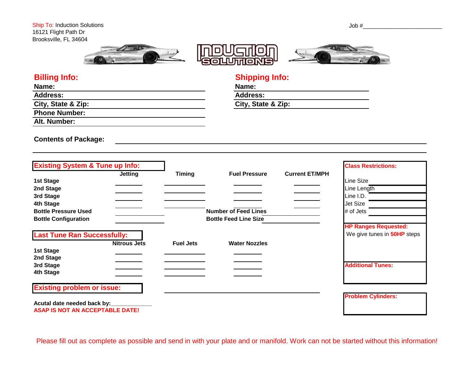





# **Billing Info: Shipping Info:**

| Name:                | Name:         |
|----------------------|---------------|
| <b>Address:</b>      | <b>Addres</b> |
| City, State & Zip:   | City, S       |
| <b>Phone Number:</b> |               |
| Alt. Number:         |               |

**Address: Address: City, State & Zip: City, State & Zip:**

**Contents of Package:**

| <b>Existing System &amp; Tune up Info:</b> |                  |                              |                       | <b>Class Restrictions:</b>         |
|--------------------------------------------|------------------|------------------------------|-----------------------|------------------------------------|
| <b>Jetting</b>                             | <b>Timing</b>    | <b>Fuel Pressure</b>         | <b>Current ET/MPH</b> |                                    |
| 1st Stage                                  |                  |                              |                       | Line Size                          |
| 2nd Stage                                  |                  |                              |                       | Line Length                        |
| 3rd Stage                                  |                  |                              |                       | Line I.D.                          |
| 4th Stage                                  |                  |                              |                       | <b>Jet Size</b>                    |
| <b>Bottle Pressure Used</b>                |                  | <b>Number of Feed Lines</b>  |                       | # of Jets                          |
| <b>Bottle Configuration</b>                |                  | <b>Bottle Feed Line Size</b> |                       |                                    |
|                                            |                  |                              |                       | <b>HP Ranges Requested:</b>        |
| <b>Last Tune Ran Successfully:</b>         |                  |                              |                       | We give tunes in <b>50HP</b> steps |
| <b>Nitrous Jets</b>                        | <b>Fuel Jets</b> | <b>Water Nozzles</b>         |                       |                                    |
| 1st Stage                                  |                  |                              |                       |                                    |
| 2nd Stage                                  |                  |                              |                       |                                    |
| 3rd Stage                                  |                  |                              |                       | <b>Additional Tunes:</b>           |
| 4th Stage                                  |                  |                              |                       |                                    |
| <b>Existing problem or issue:</b>          |                  |                              |                       |                                    |
|                                            |                  |                              |                       | <b>Problem Cylinders:</b>          |
| Acutal date needed back by:                |                  |                              |                       |                                    |
| <b>ASAP IS NOT AN ACCEPTABLE DATE!</b>     |                  |                              |                       |                                    |

Please fill out as complete as possible and send in with your plate and or manifold. Work can not be started without this information!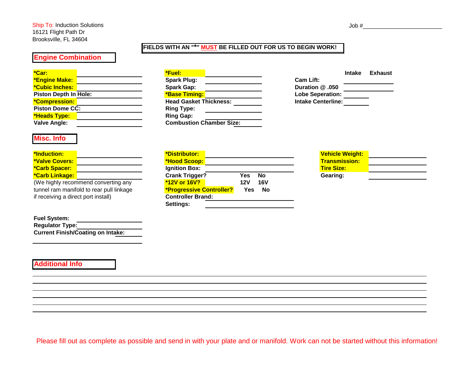#### **FIELDS WITH AN "\*" MUST BE FILLED OUT FOR US TO BEGIN WORK!**

## **Engine Combination**

| <b>Service Service</b> | ٠<br><b>Service Service</b>                                                                                    | <b>Service Service</b>                                                                                                 | <b>Service Service</b><br><b>Service Service</b> | <b>CONTRACTOR</b><br><b>Contract Contract Contract Contract Contract Contract Contract Contract Contract Contract Contract Contract Co</b><br><b>CONTRACTOR</b> |  |
|------------------------|----------------------------------------------------------------------------------------------------------------|------------------------------------------------------------------------------------------------------------------------|--------------------------------------------------|-----------------------------------------------------------------------------------------------------------------------------------------------------------------|--|
|                        | and the state of the state of the state of the state of the state of the state of the state of the state of th | ____<br>and the state of the state of the state of the state of the state of the state of the state of the state of th |                                                  | <b>Contract Contract Contract Contract Contract Contract Contract Contract Contract Contract Contract Contract Co</b>                                           |  |
|                        |                                                                                                                |                                                                                                                        |                                                  |                                                                                                                                                                 |  |

| <b>*Engine Make:</b>   | <b>Spark Plug:</b>              | <b>Cam Lift:</b>          |
|------------------------|---------------------------------|---------------------------|
| <b>*Cubic Inches:</b>  | <b>Spark Gap:</b>               | Duration @ .050           |
| Piston Depth In Hole:  | <b>*Base Timing:</b>            | <b>Lobe Seperation:</b>   |
| <u> *Compression:</u>  | <b>Head Gasket Thickness:</b>   | <b>Intake Centerline:</b> |
| <b>Piston Dome CC:</b> | <b>Ring Type:</b>               |                           |
| *Heads Type:           | <b>Ring Gap:</b>                |                           |
| Valve Angle:           | <b>Combustion Chamber Size:</b> |                           |

**Misc. Info**

| <b>*Induction:</b>                       | *Distributor:                   |            |            |
|------------------------------------------|---------------------------------|------------|------------|
| *Valve Covers:                           | *Hood Scoop:                    |            |            |
| *Carb Spacer:                            | <b>Ignition Box:</b>            |            |            |
| *Carb Linkage:                           | <b>Crank Trigger?</b>           | Yes        | No         |
| (We highly recommend converting any      | <b>*12V or 16V?</b>             | <b>12V</b> | <b>16V</b> |
| tunnel ram manifold to rear pull linkage | <b>*Progressive Controller?</b> | Yes        | <b>No</b>  |
| if receiving a direct port install)      | <b>Controller Brand:</b>        |            |            |

| <b>Fuel System:</b>                      |  |
|------------------------------------------|--|
| <b>Regulator Type:</b>                   |  |
| <b>Current Finish/Coating on Intake:</b> |  |

### **Additional Info**

| *Car:                  | *Fuel:                                                     | <b>Intake</b> | <b>Exhaust</b> |
|------------------------|------------------------------------------------------------|---------------|----------------|
| <b>*Engine Make:</b>   | <b>Spark Plug:</b><br><b>Cam Lift:</b>                     |               |                |
| <b>*Cubic Inches:</b>  | <b>Spark Gap:</b><br>Duration @ .050                       |               |                |
| Piston Depth In Hole:  | <b>*Base Timing:</b><br><b>Lobe Seperation:</b>            |               |                |
|                        | <b>Head Gasket Thickness:</b><br><b>Intake Centerline:</b> |               |                |
| <b>Piston Dome CC:</b> | <b>Ring Type:</b>                                          |               |                |
| *Heads Type:           | <b>Ring Gap:</b>                                           |               |                |
| Valve Angle:           | <b>Combustion Chamber Size:</b>                            |               |                |

|                    | Intake Exhaust |
|--------------------|----------------|
| Cam Lift:          |                |
| 050. @ Duration    |                |
| Lobe Seperation:   |                |
| Intake Centerline: |                |
|                    |                |

| <u> *Induction:</u>                      | *Distributor:                   |                   | <b>Vehicle Weight:</b> |
|------------------------------------------|---------------------------------|-------------------|------------------------|
| *Valve Covers:                           | *Hood Scoop:                    |                   | <b>Transmission:</b>   |
| <b>*Carb Spacer:</b>                     | <b>Ignition Box:</b>            |                   | <b>Tire Size:</b>      |
| <b>*Carb Linkage:</b>                    | <b>Crank Trigger?</b>           | Yes<br>No         | Gearing:               |
| (We highly recommend converting any      | <b><i>*12V or 16V?</i></b>      | <b>16V</b><br>12V |                        |
| tunnel ram manifold to rear pull linkage | <b>*Progressive Controller?</b> | Yes<br>No         |                        |
| if receiving a direct port install)      | <b>Controller Brand:</b>        |                   |                        |
|                                          | Settings:                       |                   |                        |

| <u> Vehicle Weight:</u> |  |
|-------------------------|--|
| Transmission:           |  |
| Tire Size:              |  |
| Gearing:                |  |

| Please fill out as complete as possible and send in with your plate and or manifold. Work can not be started without this information! |  |
|----------------------------------------------------------------------------------------------------------------------------------------|--|
|                                                                                                                                        |  |

 $Job \#$